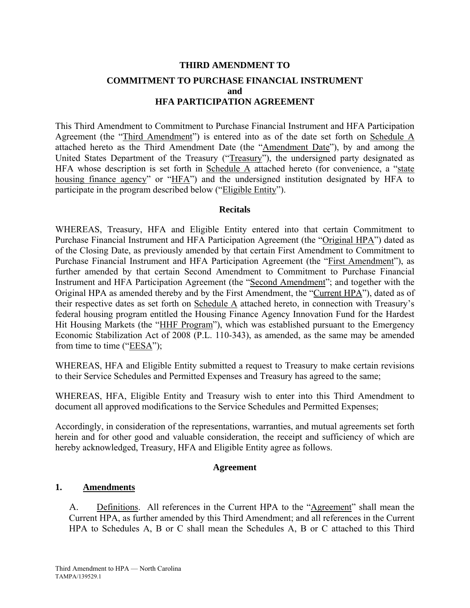# **THIRD AMENDMENT TO COMMITMENT TO PURCHASE FINANCIAL INSTRUMENT and HFA PARTICIPATION AGREEMENT**

This Third Amendment to Commitment to Purchase Financial Instrument and HFA Participation Agreement (the "Third Amendment") is entered into as of the date set forth on Schedule A attached hereto as the Third Amendment Date (the "Amendment Date"), by and among the United States Department of the Treasury ("Treasury"), the undersigned party designated as HFA whose description is set forth in Schedule  $\overline{A}$  attached hereto (for convenience, a "state housing finance agency" or "HFA") and the undersigned institution designated by HFA to participate in the program described below ("Eligible Entity").

#### **Recitals**

WHEREAS, Treasury, HFA and Eligible Entity entered into that certain Commitment to Purchase Financial Instrument and HFA Participation Agreement (the "Original HPA") dated as of the Closing Date, as previously amended by that certain First Amendment to Commitment to Purchase Financial Instrument and HFA Participation Agreement (the "First Amendment"), as further amended by that certain Second Amendment to Commitment to Purchase Financial Instrument and HFA Participation Agreement (the "Second Amendment"; and together with the Original HPA as amended thereby and by the First Amendment, the "Current HPA"), dated as of their respective dates as set forth on Schedule A attached hereto, in connection with Treasury's federal housing program entitled the Housing Finance Agency Innovation Fund for the Hardest Hit Housing Markets (the "HHF Program"), which was established pursuant to the Emergency Economic Stabilization Act of 2008 (P.L. 110-343), as amended, as the same may be amended from time to time (" $EESA$ ");

WHEREAS, HFA and Eligible Entity submitted a request to Treasury to make certain revisions to their Service Schedules and Permitted Expenses and Treasury has agreed to the same;

WHEREAS, HFA, Eligible Entity and Treasury wish to enter into this Third Amendment to document all approved modifications to the Service Schedules and Permitted Expenses;

Accordingly, in consideration of the representations, warranties, and mutual agreements set forth herein and for other good and valuable consideration, the receipt and sufficiency of which are hereby acknowledged, Treasury, HFA and Eligible Entity agree as follows.

#### **Agreement**

## **1. Amendments**

A. Definitions. All references in the Current HPA to the "Agreement" shall mean the Current HPA, as further amended by this Third Amendment; and all references in the Current HPA to Schedules A, B or C shall mean the Schedules A, B or C attached to this Third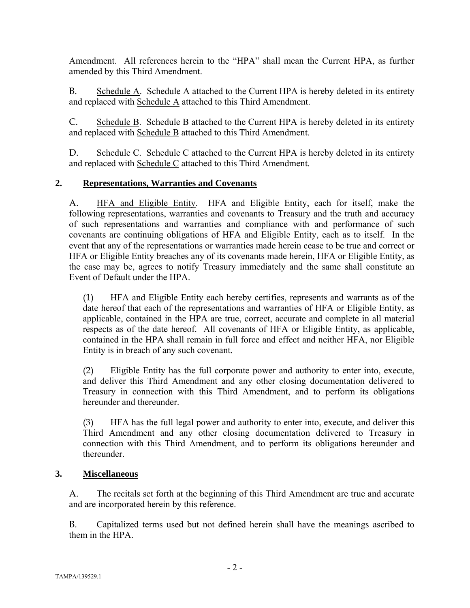Amendment. All references herein to the "HPA" shall mean the Current HPA, as further amended by this Third Amendment.

B. Schedule A. Schedule A attached to the Current HPA is hereby deleted in its entirety and replaced with Schedule A attached to this Third Amendment.

C. Schedule B. Schedule B attached to the Current HPA is hereby deleted in its entirety and replaced with Schedule B attached to this Third Amendment.

D. Schedule C. Schedule C attached to the Current HPA is hereby deleted in its entirety and replaced with Schedule C attached to this Third Amendment.

## **2. Representations, Warranties and Covenants**

A. HFA and Eligible Entity. HFA and Eligible Entity, each for itself, make the following representations, warranties and covenants to Treasury and the truth and accuracy of such representations and warranties and compliance with and performance of such covenants are continuing obligations of HFA and Eligible Entity, each as to itself. In the event that any of the representations or warranties made herein cease to be true and correct or HFA or Eligible Entity breaches any of its covenants made herein, HFA or Eligible Entity, as the case may be, agrees to notify Treasury immediately and the same shall constitute an Event of Default under the HPA.

(1) HFA and Eligible Entity each hereby certifies, represents and warrants as of the date hereof that each of the representations and warranties of HFA or Eligible Entity, as applicable, contained in the HPA are true, correct, accurate and complete in all material respects as of the date hereof. All covenants of HFA or Eligible Entity, as applicable, contained in the HPA shall remain in full force and effect and neither HFA, nor Eligible Entity is in breach of any such covenant.

(2) Eligible Entity has the full corporate power and authority to enter into, execute, and deliver this Third Amendment and any other closing documentation delivered to Treasury in connection with this Third Amendment, and to perform its obligations hereunder and thereunder.

(3) HFA has the full legal power and authority to enter into, execute, and deliver this Third Amendment and any other closing documentation delivered to Treasury in connection with this Third Amendment, and to perform its obligations hereunder and thereunder.

## **3. Miscellaneous**

A. The recitals set forth at the beginning of this Third Amendment are true and accurate and are incorporated herein by this reference.

B. Capitalized terms used but not defined herein shall have the meanings ascribed to them in the HPA.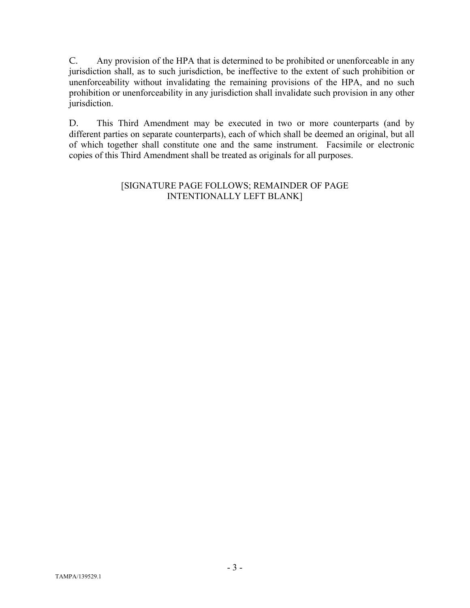C. Any provision of the HPA that is determined to be prohibited or unenforceable in any jurisdiction shall, as to such jurisdiction, be ineffective to the extent of such prohibition or unenforceability without invalidating the remaining provisions of the HPA, and no such prohibition or unenforceability in any jurisdiction shall invalidate such provision in any other jurisdiction.

D. This Third Amendment may be executed in two or more counterparts (and by different parties on separate counterparts), each of which shall be deemed an original, but all of which together shall constitute one and the same instrument. Facsimile or electronic copies of this Third Amendment shall be treated as originals for all purposes.

#### [SIGNATURE PAGE FOLLOWS; REMAINDER OF PAGE INTENTIONALLY LEFT BLANK]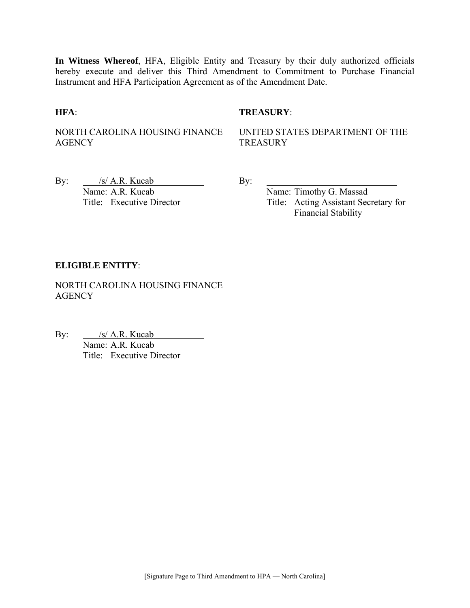**In Witness Whereof**, HFA, Eligible Entity and Treasury by their duly authorized officials hereby execute and deliver this Third Amendment to Commitment to Purchase Financial Instrument and HFA Participation Agreement as of the Amendment Date.

#### **HFA**: **TREASURY**:

NORTH CAROLINA HOUSING FINANCE **AGENCY** 

UNITED STATES DEPARTMENT OF THE **TREASURY** 

By:  $/s/ A.R.$  Kucab By: Name: A.R. Kucab Name: Timothy G. Massad

Title: Executive Director Title: Acting Assistant Secretary for Financial Stability

#### **ELIGIBLE ENTITY**:

NORTH CAROLINA HOUSING FINANCE **AGENCY** 

By:  $\frac{|s|}{A.R. Kucab}$  $\frac{(S/A.R. \text{Nucav})}{\text{Name: A.R. Kucab}}$ Title: Executive Director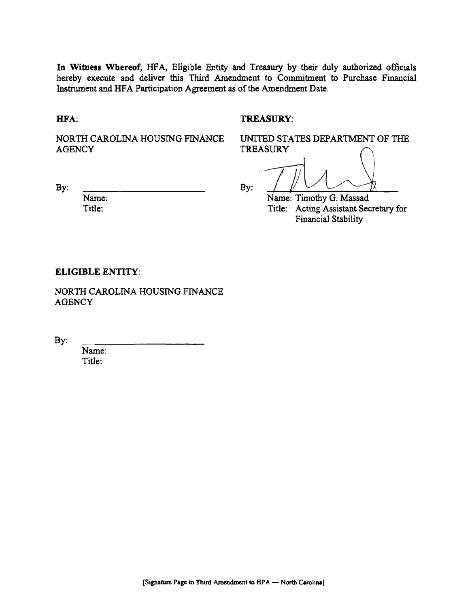**In Witness Whereof,** HFA, Eligible Entity and Treasury by their duly authorized officials hereby execute and deliver this Third Amendment to Commitment to Purchase Financial Instrument and HFA Participation Agreement as of the Amendment Date.

BFA:

By:

#### TREASURY:

NORTH CAROLINA HOUSING FINANCE **AGENCY** 

UNITED STATES DEPARTMENT OF THE TREASURY

By:

Name: Timothy G. Massad Title: Acting Assistant Secretary for Financial Stability

#### **ELIGIBLE** ENTITY:

Name: Title:

NORTH CAROLINA HOUSING FINANCE **AGENCY** 

By:

Name: Title: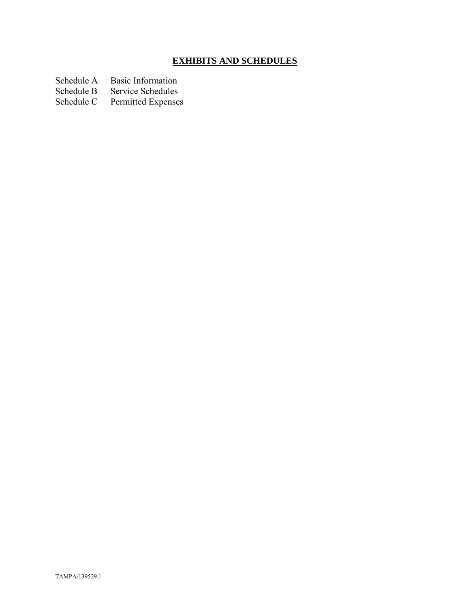# **EXHIBITS AND SCHEDULES**

- Schedule A Basic Information<br>Schedule B Service Schedules
- Schedule B Service Schedules<br>Schedule C Permitted Expenses
- Permitted Expenses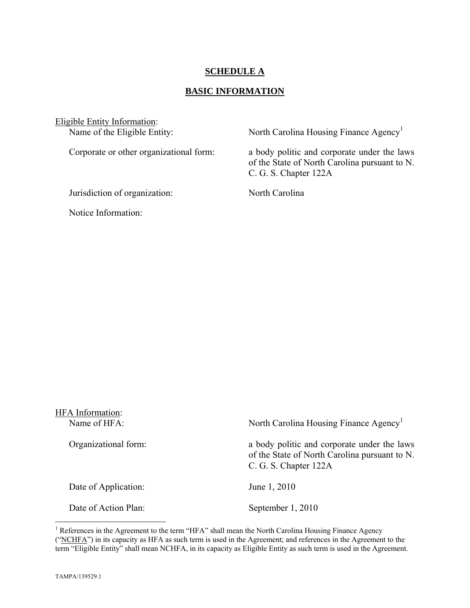## **SCHEDULE A**

#### **BASIC INFORMATION**

Eligible Entity Information:<br>Name of the Eligible Entity:

Jurisdiction of organization: North Carolina

Notice Information:

North Carolina Housing Finance Agency<sup>1</sup>

Corporate or other organizational form: a body politic and corporate under the laws of the State of North Carolina pursuant to N. C. G. S. Chapter 122A

| HFA Information:<br>Name of HFA: | North Carolina Housing Finance Agency <sup>1</sup>                                                                    |
|----------------------------------|-----------------------------------------------------------------------------------------------------------------------|
| Organizational form:             | a body politic and corporate under the laws<br>of the State of North Carolina pursuant to N.<br>C. G. S. Chapter 122A |
| Date of Application:             | June 1, 2010                                                                                                          |
| Date of Action Plan:             | September 1, 2010                                                                                                     |

<sup>&</sup>lt;sup>1</sup> References in the Agreement to the term "HFA" shall mean the North Carolina Housing Finance Agency ("NCHFA") in its capacity as HFA as such term is used in the Agreement; and references in the Agreement to the term "Eligible Entity" shall mean NCHFA, in its capacity as Eligible Entity as such term is used in the Agreement.

1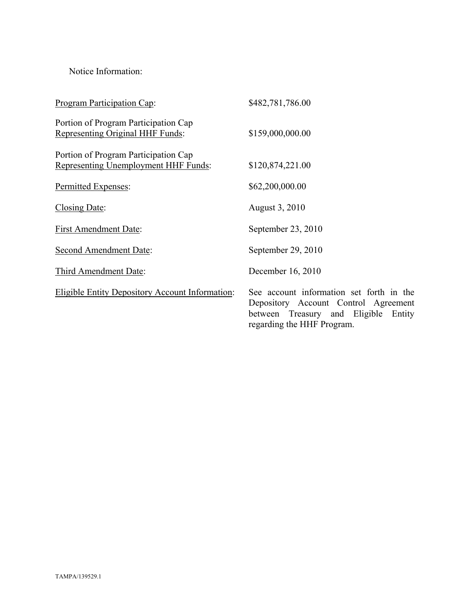Notice Information:

| <b>Program Participation Cap:</b>                                                   | \$482,781,786.00                                                                                                               |
|-------------------------------------------------------------------------------------|--------------------------------------------------------------------------------------------------------------------------------|
| Portion of Program Participation Cap<br>Representing Original HHF Funds:            | \$159,000,000.00                                                                                                               |
| Portion of Program Participation Cap<br><b>Representing Unemployment HHF Funds:</b> | \$120,874,221.00                                                                                                               |
| Permitted Expenses:                                                                 | \$62,200,000.00                                                                                                                |
| Closing Date:                                                                       | August 3, 2010                                                                                                                 |
| <b>First Amendment Date:</b>                                                        | September 23, 2010                                                                                                             |
| <b>Second Amendment Date:</b>                                                       | September 29, 2010                                                                                                             |
| Third Amendment Date:                                                               | December 16, 2010                                                                                                              |
| <b>Eligible Entity Depository Account Information:</b>                              | See account information set forth in the<br>Depository Account Control Agreement<br>Eligible<br>between Treasury and<br>Entity |

regarding the HHF Program.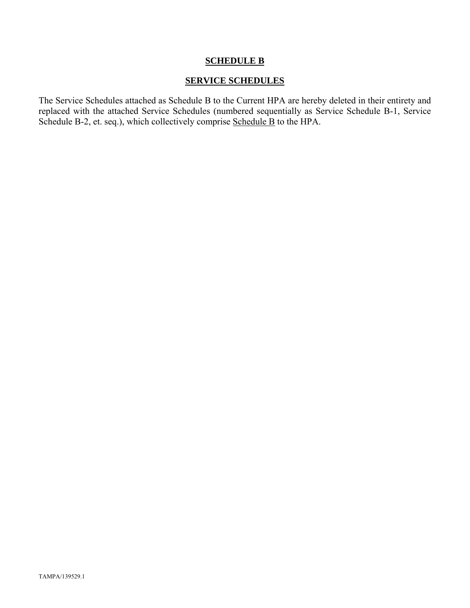## **SCHEDULE B**

## **SERVICE SCHEDULES**

The Service Schedules attached as Schedule B to the Current HPA are hereby deleted in their entirety and replaced with the attached Service Schedules (numbered sequentially as Service Schedule B-1, Service Schedule B-2, et. seq.), which collectively comprise Schedule B to the HPA.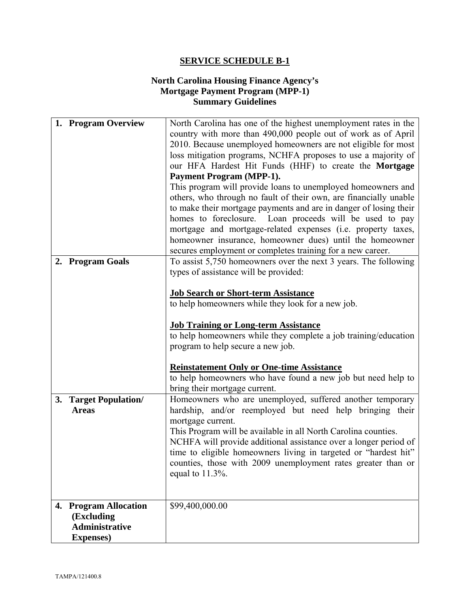#### **North Carolina Housing Finance Agency's Mortgage Payment Program (MPP-1) Summary Guidelines**

| 1. Program Overview             | North Carolina has one of the highest unemployment rates in the   |
|---------------------------------|-------------------------------------------------------------------|
|                                 | country with more than 490,000 people out of work as of April     |
|                                 | 2010. Because unemployed homeowners are not eligible for most     |
|                                 | loss mitigation programs, NCHFA proposes to use a majority of     |
|                                 | our HFA Hardest Hit Funds (HHF) to create the Mortgage            |
|                                 | <b>Payment Program (MPP-1).</b>                                   |
|                                 | This program will provide loans to unemployed homeowners and      |
|                                 | others, who through no fault of their own, are financially unable |
|                                 | to make their mortgage payments and are in danger of losing their |
|                                 | homes to foreclosure. Loan proceeds will be used to pay           |
|                                 | mortgage and mortgage-related expenses (i.e. property taxes,      |
|                                 | homeowner insurance, homeowner dues) until the homeowner          |
|                                 | secures employment or completes training for a new career.        |
| 2. Program Goals                | To assist 5,750 homeowners over the next 3 years. The following   |
|                                 | types of assistance will be provided:                             |
|                                 |                                                                   |
|                                 | <b>Job Search or Short-term Assistance</b>                        |
|                                 | to help homeowners while they look for a new job.                 |
|                                 | <b>Job Training or Long-term Assistance</b>                       |
|                                 | to help homeowners while they complete a job training/education   |
|                                 | program to help secure a new job.                                 |
|                                 |                                                                   |
|                                 | <b>Reinstatement Only or One-time Assistance</b>                  |
|                                 | to help homeowners who have found a new job but need help to      |
|                                 | bring their mortgage current.                                     |
| <b>Target Population/</b><br>3. | Homeowners who are unemployed, suffered another temporary         |
| <b>Areas</b>                    | hardship, and/or reemployed but need help bringing their          |
|                                 | mortgage current.                                                 |
|                                 | This Program will be available in all North Carolina counties.    |
|                                 | NCHFA will provide additional assistance over a longer period of  |
|                                 | time to eligible homeowners living in targeted or "hardest hit"   |
|                                 | counties, those with 2009 unemployment rates greater than or      |
|                                 | equal to $11.3\%$ .                                               |
|                                 |                                                                   |
| 4. Program Allocation           | \$99,400,000.00                                                   |
| (Excluding                      |                                                                   |
| <b>Administrative</b>           |                                                                   |
| <b>Expenses</b> )               |                                                                   |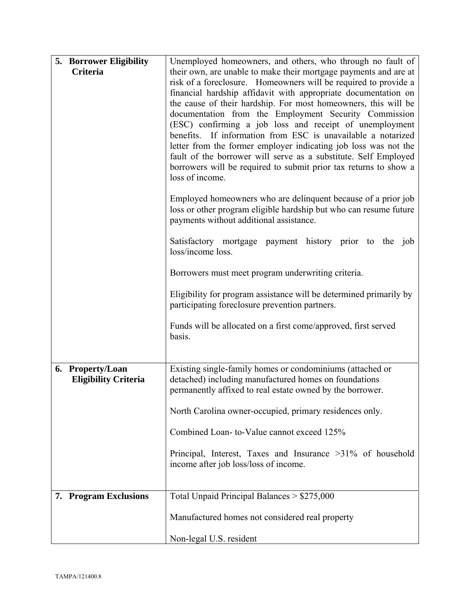|    | <b>5. Borrower Eligibility</b> | Unemployed homeowners, and others, who through no fault of                                                           |
|----|--------------------------------|----------------------------------------------------------------------------------------------------------------------|
|    | Criteria                       | their own, are unable to make their mortgage payments and are at                                                     |
|    |                                | risk of a foreclosure. Homeowners will be required to provide a                                                      |
|    |                                | financial hardship affidavit with appropriate documentation on                                                       |
|    |                                | the cause of their hardship. For most homeowners, this will be                                                       |
|    |                                | documentation from the Employment Security Commission<br>(ESC) confirming a job loss and receipt of unemployment     |
|    |                                | benefits. If information from ESC is unavailable a notarized                                                         |
|    |                                | letter from the former employer indicating job loss was not the                                                      |
|    |                                | fault of the borrower will serve as a substitute. Self Employed                                                      |
|    |                                | borrowers will be required to submit prior tax returns to show a                                                     |
|    |                                | loss of income.                                                                                                      |
|    |                                | Employed homeowners who are delinquent because of a prior job                                                        |
|    |                                | loss or other program eligible hardship but who can resume future                                                    |
|    |                                | payments without additional assistance.                                                                              |
|    |                                |                                                                                                                      |
|    |                                | Satisfactory mortgage payment history prior to the job<br>loss/income loss.                                          |
|    |                                |                                                                                                                      |
|    |                                | Borrowers must meet program underwriting criteria.                                                                   |
|    |                                |                                                                                                                      |
|    |                                | Eligibility for program assistance will be determined primarily by<br>participating foreclosure prevention partners. |
|    |                                |                                                                                                                      |
|    |                                | Funds will be allocated on a first come/approved, first served                                                       |
|    |                                | basis.                                                                                                               |
|    |                                |                                                                                                                      |
|    | 6. Property/Loan               | Existing single-family homes or condominiums (attached or                                                            |
|    | <b>Eligibility Criteria</b>    | detached) including manufactured homes on foundations                                                                |
|    |                                | permanently affixed to real estate owned by the borrower.                                                            |
|    |                                | North Carolina owner-occupied, primary residences only.                                                              |
|    |                                |                                                                                                                      |
|    |                                | Combined Loan-to-Value cannot exceed 125%                                                                            |
|    |                                | Principal, Interest, Taxes and Insurance >31% of household                                                           |
|    |                                | income after job loss/loss of income.                                                                                |
|    |                                |                                                                                                                      |
| 7. | <b>Program Exclusions</b>      | Total Unpaid Principal Balances > \$275,000                                                                          |
|    |                                |                                                                                                                      |
|    |                                | Manufactured homes not considered real property                                                                      |
|    |                                |                                                                                                                      |
|    |                                | Non-legal U.S. resident                                                                                              |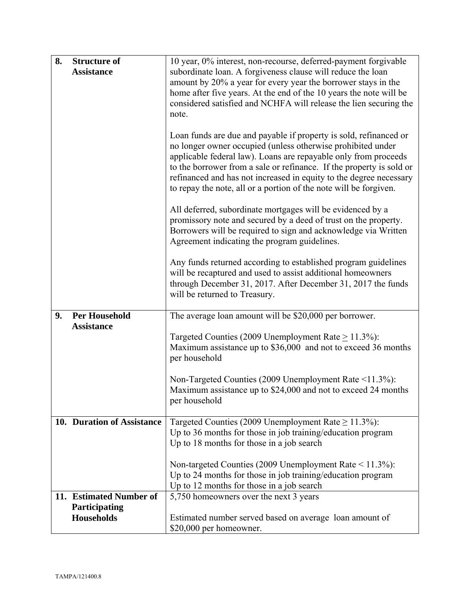| 8. | <b>Structure of</b>        | 10 year, 0% interest, non-recourse, deferred-payment forgivable                                          |
|----|----------------------------|----------------------------------------------------------------------------------------------------------|
|    | <b>Assistance</b>          | subordinate loan. A forgiveness clause will reduce the loan                                              |
|    |                            | amount by 20% a year for every year the borrower stays in the                                            |
|    |                            | home after five years. At the end of the 10 years the note will be                                       |
|    |                            | considered satisfied and NCHFA will release the lien securing the                                        |
|    |                            | note.                                                                                                    |
|    |                            |                                                                                                          |
|    |                            | Loan funds are due and payable if property is sold, refinanced or                                        |
|    |                            | no longer owner occupied (unless otherwise prohibited under                                              |
|    |                            | applicable federal law). Loans are repayable only from proceeds                                          |
|    |                            | to the borrower from a sale or refinance. If the property is sold or                                     |
|    |                            | refinanced and has not increased in equity to the degree necessary                                       |
|    |                            | to repay the note, all or a portion of the note will be forgiven.                                        |
|    |                            | All deferred, subordinate mortgages will be evidenced by a                                               |
|    |                            | promissory note and secured by a deed of trust on the property.                                          |
|    |                            | Borrowers will be required to sign and acknowledge via Written                                           |
|    |                            | Agreement indicating the program guidelines.                                                             |
|    |                            |                                                                                                          |
|    |                            | Any funds returned according to established program guidelines                                           |
|    |                            | will be recaptured and used to assist additional homeowners                                              |
|    |                            | through December 31, 2017. After December 31, 2017 the funds                                             |
|    |                            | will be returned to Treasury.                                                                            |
| 9. | <b>Per Household</b>       | The average loan amount will be \$20,000 per borrower.                                                   |
|    | <b>Assistance</b>          |                                                                                                          |
|    |                            | Targeted Counties (2009 Unemployment Rate $\geq$ 11.3%):                                                 |
|    |                            | Maximum assistance up to \$36,000 and not to exceed 36 months                                            |
|    |                            | per household                                                                                            |
|    |                            |                                                                                                          |
|    |                            | Non-Targeted Counties (2009 Unemployment Rate <11.3%):                                                   |
|    |                            | Maximum assistance up to \$24,000 and not to exceed 24 months                                            |
|    |                            | per household                                                                                            |
|    |                            |                                                                                                          |
|    | 10. Duration of Assistance | Targeted Counties (2009 Unemployment Rate $\geq$ 11.3%):                                                 |
|    |                            | Up to 36 months for those in job training/education program<br>Up to 18 months for those in a job search |
|    |                            |                                                                                                          |
|    |                            | Non-targeted Counties (2009 Unemployment Rate $\leq$ 11.3%):                                             |
|    |                            | Up to 24 months for those in job training/education program                                              |
|    |                            | Up to 12 months for those in a job search                                                                |
|    | 11. Estimated Number of    | 5,750 homeowners over the next 3 years                                                                   |
|    | Participating              |                                                                                                          |
|    | <b>Households</b>          | Estimated number served based on average loan amount of                                                  |
|    |                            | \$20,000 per homeowner.                                                                                  |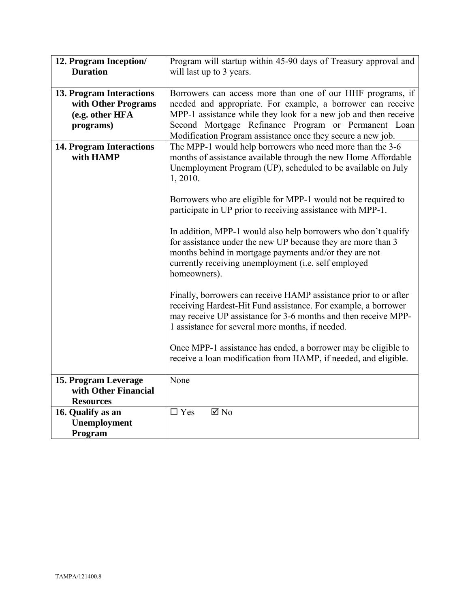| 12. Program Inception/<br><b>Duration</b>                                       | Program will startup within 45-90 days of Treasury approval and<br>will last up to 3 years.                                                                                                                                                                                                                        |
|---------------------------------------------------------------------------------|--------------------------------------------------------------------------------------------------------------------------------------------------------------------------------------------------------------------------------------------------------------------------------------------------------------------|
| 13. Program Interactions<br>with Other Programs<br>(e.g. other HFA<br>programs) | Borrowers can access more than one of our HHF programs, if<br>needed and appropriate. For example, a borrower can receive<br>MPP-1 assistance while they look for a new job and then receive<br>Second Mortgage Refinance Program or Permanent Loan<br>Modification Program assistance once they secure a new job. |
| <b>14. Program Interactions</b><br>with HAMP                                    | The MPP-1 would help borrowers who need more than the 3-6<br>months of assistance available through the new Home Affordable<br>Unemployment Program (UP), scheduled to be available on July<br>1, 2010.                                                                                                            |
|                                                                                 | Borrowers who are eligible for MPP-1 would not be required to<br>participate in UP prior to receiving assistance with MPP-1.                                                                                                                                                                                       |
|                                                                                 | In addition, MPP-1 would also help borrowers who don't qualify<br>for assistance under the new UP because they are more than 3<br>months behind in mortgage payments and/or they are not<br>currently receiving unemployment (i.e. self employed<br>homeowners).                                                   |
|                                                                                 | Finally, borrowers can receive HAMP assistance prior to or after<br>receiving Hardest-Hit Fund assistance. For example, a borrower<br>may receive UP assistance for 3-6 months and then receive MPP-<br>1 assistance for several more months, if needed.                                                           |
|                                                                                 | Once MPP-1 assistance has ended, a borrower may be eligible to<br>receive a loan modification from HAMP, if needed, and eligible.                                                                                                                                                                                  |
| 15. Program Leverage<br>with Other Financial<br><b>Resources</b>                | None                                                                                                                                                                                                                                                                                                               |
| 16. Qualify as an<br>Unemployment<br>Program                                    | $\boxtimes$ No<br>$\Box$ Yes                                                                                                                                                                                                                                                                                       |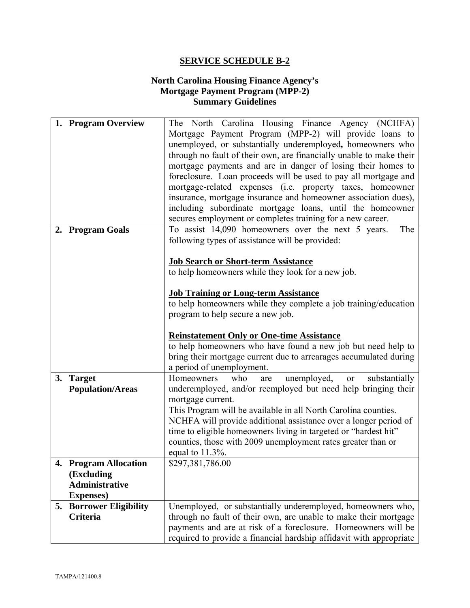### **North Carolina Housing Finance Agency's Mortgage Payment Program (MPP-2) Summary Guidelines**

|    | 1. Program Overview                 | The North Carolina Housing Finance Agency (NCHFA)                                                                                 |
|----|-------------------------------------|-----------------------------------------------------------------------------------------------------------------------------------|
|    |                                     | Mortgage Payment Program (MPP-2) will provide loans to                                                                            |
|    |                                     | unemployed, or substantially underemployed, homeowners who                                                                        |
|    |                                     | through no fault of their own, are financially unable to make their                                                               |
|    |                                     | mortgage payments and are in danger of losing their homes to                                                                      |
|    |                                     | foreclosure. Loan proceeds will be used to pay all mortgage and                                                                   |
|    |                                     | mortgage-related expenses (i.e. property taxes, homeowner                                                                         |
|    |                                     | insurance, mortgage insurance and homeowner association dues),                                                                    |
|    |                                     |                                                                                                                                   |
|    |                                     | including subordinate mortgage loans, until the homeowner                                                                         |
|    |                                     | secures employment or completes training for a new career.                                                                        |
|    | 2. Program Goals                    | To assist 14,090 homeowners over the next 5 years.<br>The                                                                         |
|    |                                     | following types of assistance will be provided:                                                                                   |
|    |                                     | <b>Job Search or Short-term Assistance</b>                                                                                        |
|    |                                     | to help homeowners while they look for a new job.                                                                                 |
|    |                                     |                                                                                                                                   |
|    |                                     | <b>Job Training or Long-term Assistance</b>                                                                                       |
|    |                                     | to help homeowners while they complete a job training/education                                                                   |
|    |                                     | program to help secure a new job.                                                                                                 |
|    |                                     |                                                                                                                                   |
|    |                                     |                                                                                                                                   |
|    |                                     |                                                                                                                                   |
|    |                                     | <b>Reinstatement Only or One-time Assistance</b>                                                                                  |
|    |                                     | to help homeowners who have found a new job but need help to                                                                      |
|    |                                     | bring their mortgage current due to arrearages accumulated during<br>a period of unemployment.                                    |
| 3. | <b>Target</b>                       | unemployed,<br>Homeowners<br>who<br>substantially<br>are<br>or                                                                    |
|    | <b>Population/Areas</b>             | underemployed, and/or reemployed but need help bringing their                                                                     |
|    |                                     | mortgage current.                                                                                                                 |
|    |                                     | This Program will be available in all North Carolina counties.                                                                    |
|    |                                     | NCHFA will provide additional assistance over a longer period of                                                                  |
|    |                                     |                                                                                                                                   |
|    |                                     | time to eligible homeowners living in targeted or "hardest hit"                                                                   |
|    |                                     | counties, those with 2009 unemployment rates greater than or                                                                      |
|    |                                     | equal to $11.3\%$ .                                                                                                               |
|    | <b>Program Allocation</b>           | \$297,381,786.00                                                                                                                  |
|    | (Excluding                          |                                                                                                                                   |
|    | <b>Administrative</b>               |                                                                                                                                   |
|    | <b>Expenses</b> )                   |                                                                                                                                   |
|    | 5. Borrower Eligibility<br>Criteria | Unemployed, or substantially underemployed, homeowners who,                                                                       |
|    |                                     | through no fault of their own, are unable to make their mortgage<br>payments and are at risk of a foreclosure. Homeowners will be |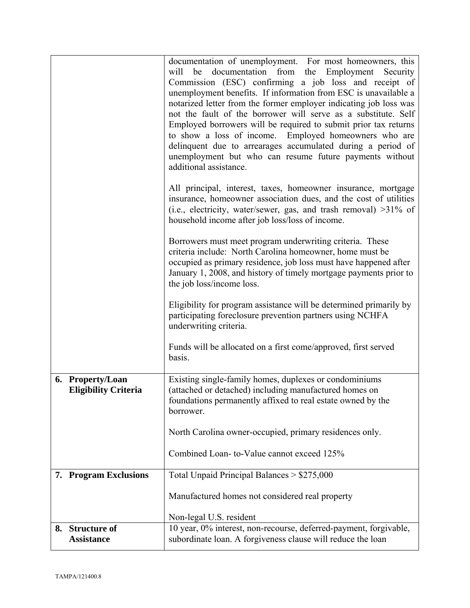|                                                 | documentation of unemployment. For most homeowners, this<br>documentation from the Employment<br>will<br>be<br>Security<br>Commission (ESC) confirming a job loss and receipt of<br>unemployment benefits. If information from ESC is unavailable a<br>notarized letter from the former employer indicating job loss was<br>not the fault of the borrower will serve as a substitute. Self<br>Employed borrowers will be required to submit prior tax returns<br>to show a loss of income. Employed homeowners who are<br>delinquent due to arrearages accumulated during a period of<br>unemployment but who can resume future payments without<br>additional assistance. |
|-------------------------------------------------|----------------------------------------------------------------------------------------------------------------------------------------------------------------------------------------------------------------------------------------------------------------------------------------------------------------------------------------------------------------------------------------------------------------------------------------------------------------------------------------------------------------------------------------------------------------------------------------------------------------------------------------------------------------------------|
|                                                 | All principal, interest, taxes, homeowner insurance, mortgage<br>insurance, homeowner association dues, and the cost of utilities<br>(i.e., electricity, water/sewer, gas, and trash removal) $>31\%$ of<br>household income after job loss/loss of income.                                                                                                                                                                                                                                                                                                                                                                                                                |
|                                                 | Borrowers must meet program underwriting criteria. These<br>criteria include: North Carolina homeowner, home must be<br>occupied as primary residence, job loss must have happened after<br>January 1, 2008, and history of timely mortgage payments prior to<br>the job loss/income loss.                                                                                                                                                                                                                                                                                                                                                                                 |
|                                                 | Eligibility for program assistance will be determined primarily by<br>participating foreclosure prevention partners using NCHFA<br>underwriting criteria.                                                                                                                                                                                                                                                                                                                                                                                                                                                                                                                  |
|                                                 | Funds will be allocated on a first come/approved, first served<br>basis.                                                                                                                                                                                                                                                                                                                                                                                                                                                                                                                                                                                                   |
| 6. Property/Loan<br><b>Eligibility Criteria</b> | Existing single-family homes, duplexes or condominiums<br>(attached or detached) including manufactured homes on<br>foundations permanently affixed to real estate owned by the<br>borrower.                                                                                                                                                                                                                                                                                                                                                                                                                                                                               |
|                                                 | North Carolina owner-occupied, primary residences only.                                                                                                                                                                                                                                                                                                                                                                                                                                                                                                                                                                                                                    |
|                                                 | Combined Loan- to-Value cannot exceed 125%                                                                                                                                                                                                                                                                                                                                                                                                                                                                                                                                                                                                                                 |
| 7. Program Exclusions                           | Total Unpaid Principal Balances > \$275,000                                                                                                                                                                                                                                                                                                                                                                                                                                                                                                                                                                                                                                |
|                                                 | Manufactured homes not considered real property                                                                                                                                                                                                                                                                                                                                                                                                                                                                                                                                                                                                                            |
|                                                 | Non-legal U.S. resident                                                                                                                                                                                                                                                                                                                                                                                                                                                                                                                                                                                                                                                    |
| <b>Structure of</b><br>8.<br><b>Assistance</b>  | 10 year, 0% interest, non-recourse, deferred-payment, forgivable,<br>subordinate loan. A forgiveness clause will reduce the loan                                                                                                                                                                                                                                                                                                                                                                                                                                                                                                                                           |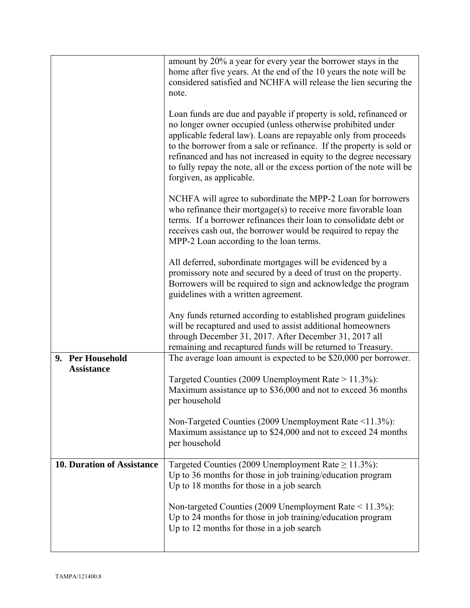|                                   | amount by 20% a year for every year the borrower stays in the<br>home after five years. At the end of the 10 years the note will be<br>considered satisfied and NCHFA will release the lien securing the<br>note.                                                                                                                                                                                                                                       |
|-----------------------------------|---------------------------------------------------------------------------------------------------------------------------------------------------------------------------------------------------------------------------------------------------------------------------------------------------------------------------------------------------------------------------------------------------------------------------------------------------------|
|                                   | Loan funds are due and payable if property is sold, refinanced or<br>no longer owner occupied (unless otherwise prohibited under<br>applicable federal law). Loans are repayable only from proceeds<br>to the borrower from a sale or refinance. If the property is sold or<br>refinanced and has not increased in equity to the degree necessary<br>to fully repay the note, all or the excess portion of the note will be<br>forgiven, as applicable. |
|                                   | NCHFA will agree to subordinate the MPP-2 Loan for borrowers<br>who refinance their mortgage $(s)$ to receive more favorable loan<br>terms. If a borrower refinances their loan to consolidate debt or<br>receives cash out, the borrower would be required to repay the<br>MPP-2 Loan according to the loan terms.                                                                                                                                     |
|                                   | All deferred, subordinate mortgages will be evidenced by a<br>promissory note and secured by a deed of trust on the property.<br>Borrowers will be required to sign and acknowledge the program<br>guidelines with a written agreement.                                                                                                                                                                                                                 |
|                                   | Any funds returned according to established program guidelines<br>will be recaptured and used to assist additional homeowners<br>through December 31, 2017. After December 31, 2017 all<br>remaining and recaptured funds will be returned to Treasury.                                                                                                                                                                                                 |
| 9. Per Household                  | The average loan amount is expected to be \$20,000 per borrower.                                                                                                                                                                                                                                                                                                                                                                                        |
| <b>Assistance</b>                 | Targeted Counties (2009 Unemployment Rate > 11.3%):<br>Maximum assistance up to \$36,000 and not to exceed 36 months<br>per household                                                                                                                                                                                                                                                                                                                   |
|                                   | Non-Targeted Counties (2009 Unemployment Rate <11.3%):<br>Maximum assistance up to \$24,000 and not to exceed 24 months<br>per household                                                                                                                                                                                                                                                                                                                |
| <b>10. Duration of Assistance</b> | Targeted Counties (2009 Unemployment Rate $\geq$ 11.3%):<br>Up to 36 months for those in job training/education program<br>Up to 18 months for those in a job search                                                                                                                                                                                                                                                                                    |
|                                   | Non-targeted Counties (2009 Unemployment Rate $\leq$ 11.3%):<br>Up to 24 months for those in job training/education program<br>Up to 12 months for those in a job search                                                                                                                                                                                                                                                                                |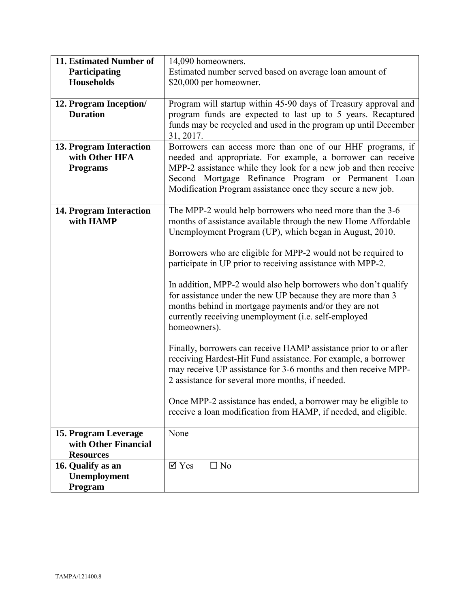| 11. Estimated Number of | 14,090 homeowners.                                               |
|-------------------------|------------------------------------------------------------------|
| Participating           | Estimated number served based on average loan amount of          |
| <b>Households</b>       | \$20,000 per homeowner.                                          |
|                         |                                                                  |
| 12. Program Inception/  | Program will startup within 45-90 days of Treasury approval and  |
| <b>Duration</b>         | program funds are expected to last up to 5 years. Recaptured     |
|                         | funds may be recycled and used in the program up until December  |
|                         | 31, 2017.                                                        |
|                         |                                                                  |
| 13. Program Interaction | Borrowers can access more than one of our HHF programs, if       |
| with Other HFA          | needed and appropriate. For example, a borrower can receive      |
| <b>Programs</b>         | MPP-2 assistance while they look for a new job and then receive  |
|                         | Second Mortgage Refinance Program or Permanent Loan              |
|                         | Modification Program assistance once they secure a new job.      |
|                         |                                                                  |
| 14. Program Interaction | The MPP-2 would help borrowers who need more than the 3-6        |
| with HAMP               | months of assistance available through the new Home Affordable   |
|                         | Unemployment Program (UP), which began in August, 2010.          |
|                         |                                                                  |
|                         | Borrowers who are eligible for MPP-2 would not be required to    |
|                         | participate in UP prior to receiving assistance with MPP-2.      |
|                         |                                                                  |
|                         | In addition, MPP-2 would also help borrowers who don't qualify   |
|                         | for assistance under the new UP because they are more than 3     |
|                         | months behind in mortgage payments and/or they are not           |
|                         | currently receiving unemployment (i.e. self-employed             |
|                         |                                                                  |
|                         | homeowners).                                                     |
|                         |                                                                  |
|                         | Finally, borrowers can receive HAMP assistance prior to or after |
|                         | receiving Hardest-Hit Fund assistance. For example, a borrower   |
|                         | may receive UP assistance for 3-6 months and then receive MPP-   |
|                         | 2 assistance for several more months, if needed.                 |
|                         |                                                                  |
|                         | Once MPP-2 assistance has ended, a borrower may be eligible to   |
|                         | receive a loan modification from HAMP, if needed, and eligible.  |
|                         |                                                                  |
| 15. Program Leverage    | None                                                             |
| with Other Financial    |                                                                  |
| <b>Resources</b>        |                                                                  |
| 16. Qualify as an       | $\boxtimes$ Yes<br>$\square$ No                                  |
| Unemployment            |                                                                  |
| Program                 |                                                                  |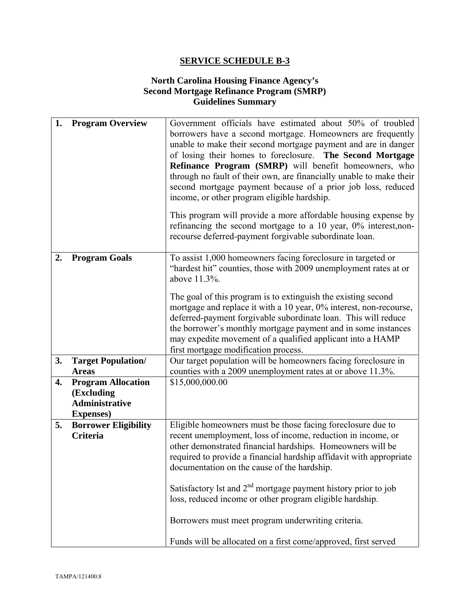### **North Carolina Housing Finance Agency's Second Mortgage Refinance Program (SMRP) Guidelines Summary**

| 1. | <b>Program Overview</b>                                                               | Government officials have estimated about 50% of troubled<br>borrowers have a second mortgage. Homeowners are frequently<br>unable to make their second mortgage payment and are in danger<br>of losing their homes to foreclosure. The Second Mortgage<br>Refinance Program (SMRP) will benefit homeowners, who<br>through no fault of their own, are financially unable to make their<br>second mortgage payment because of a prior job loss, reduced<br>income, or other program eligible hardship.<br>This program will provide a more affordable housing expense by<br>refinancing the second mortgage to a 10 year, $0\%$ interest, non-<br>recourse deferred-payment forgivable subordinate loan. |
|----|---------------------------------------------------------------------------------------|----------------------------------------------------------------------------------------------------------------------------------------------------------------------------------------------------------------------------------------------------------------------------------------------------------------------------------------------------------------------------------------------------------------------------------------------------------------------------------------------------------------------------------------------------------------------------------------------------------------------------------------------------------------------------------------------------------|
| 2. | <b>Program Goals</b>                                                                  | To assist 1,000 homeowners facing foreclosure in targeted or<br>"hardest hit" counties, those with 2009 unemployment rates at or<br>above 11.3%.<br>The goal of this program is to extinguish the existing second<br>mortgage and replace it with a 10 year, 0% interest, non-recourse,<br>deferred-payment forgivable subordinate loan. This will reduce<br>the borrower's monthly mortgage payment and in some instances<br>may expedite movement of a qualified applicant into a HAMP<br>first mortgage modification process.                                                                                                                                                                         |
| 3. | <b>Target Population/</b><br><b>Areas</b>                                             | Our target population will be homeowners facing foreclosure in<br>counties with a 2009 unemployment rates at or above 11.3%.                                                                                                                                                                                                                                                                                                                                                                                                                                                                                                                                                                             |
| 4. | <b>Program Allocation</b><br>(Excluding<br><b>Administrative</b><br><b>Expenses</b> ) | \$15,000,000.00                                                                                                                                                                                                                                                                                                                                                                                                                                                                                                                                                                                                                                                                                          |
| 5. | <b>Borrower Eligibility</b><br>Criteria                                               | Eligible homeowners must be those facing foreclosure due to<br>recent unemployment, loss of income, reduction in income, or<br>other demonstrated financial hardships. Homeowners will be<br>required to provide a financial hardship affidavit with appropriate<br>documentation on the cause of the hardship.<br>Satisfactory 1st and $2nd$ mortgage payment history prior to job<br>loss, reduced income or other program eligible hardship.<br>Borrowers must meet program underwriting criteria.<br>Funds will be allocated on a first come/approved, first served                                                                                                                                  |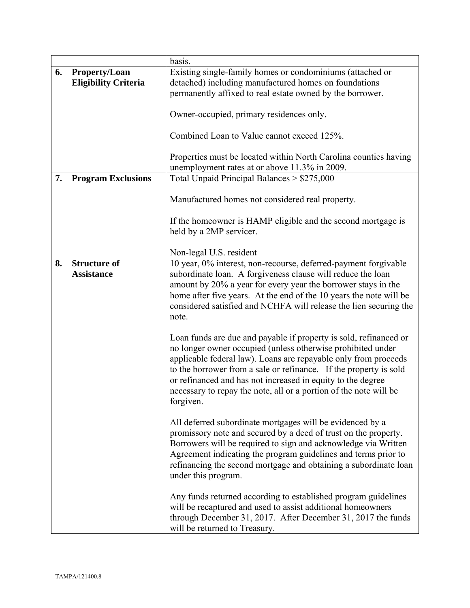|    |                             | basis.                                                             |
|----|-----------------------------|--------------------------------------------------------------------|
| 6. | <b>Property/Loan</b>        | Existing single-family homes or condominiums (attached or          |
|    | <b>Eligibility Criteria</b> | detached) including manufactured homes on foundations              |
|    |                             | permanently affixed to real estate owned by the borrower.          |
|    |                             |                                                                    |
|    |                             | Owner-occupied, primary residences only.                           |
|    |                             |                                                                    |
|    |                             | Combined Loan to Value cannot exceed 125%.                         |
|    |                             |                                                                    |
|    |                             | Properties must be located within North Carolina counties having   |
|    |                             | unemployment rates at or above 11.3% in 2009.                      |
| 7. | <b>Program Exclusions</b>   | Total Unpaid Principal Balances > \$275,000                        |
|    |                             |                                                                    |
|    |                             |                                                                    |
|    |                             | Manufactured homes not considered real property.                   |
|    |                             |                                                                    |
|    |                             | If the homeowner is HAMP eligible and the second mortgage is       |
|    |                             | held by a 2MP servicer.                                            |
|    |                             |                                                                    |
|    |                             | Non-legal U.S. resident                                            |
| 8. | <b>Structure of</b>         | 10 year, 0% interest, non-recourse, deferred-payment forgivable    |
|    | <b>Assistance</b>           | subordinate loan. A forgiveness clause will reduce the loan        |
|    |                             | amount by 20% a year for every year the borrower stays in the      |
|    |                             | home after five years. At the end of the 10 years the note will be |
|    |                             | considered satisfied and NCHFA will release the lien securing the  |
|    |                             | note.                                                              |
|    |                             |                                                                    |
|    |                             | Loan funds are due and payable if property is sold, refinanced or  |
|    |                             | no longer owner occupied (unless otherwise prohibited under        |
|    |                             | applicable federal law). Loans are repayable only from proceeds    |
|    |                             | to the borrower from a sale or refinance. If the property is sold  |
|    |                             | or refinanced and has not increased in equity to the degree        |
|    |                             | necessary to repay the note, all or a portion of the note will be  |
|    |                             | forgiven.                                                          |
|    |                             |                                                                    |
|    |                             | All deferred subordinate mortgages will be evidenced by a          |
|    |                             | promissory note and secured by a deed of trust on the property.    |
|    |                             | Borrowers will be required to sign and acknowledge via Written     |
|    |                             | Agreement indicating the program guidelines and terms prior to     |
|    |                             | refinancing the second mortgage and obtaining a subordinate loan   |
|    |                             | under this program.                                                |
|    |                             |                                                                    |
|    |                             | Any funds returned according to established program guidelines     |
|    |                             | will be recaptured and used to assist additional homeowners        |
|    |                             | through December 31, 2017. After December 31, 2017 the funds       |
|    |                             | will be returned to Treasury.                                      |
|    |                             |                                                                    |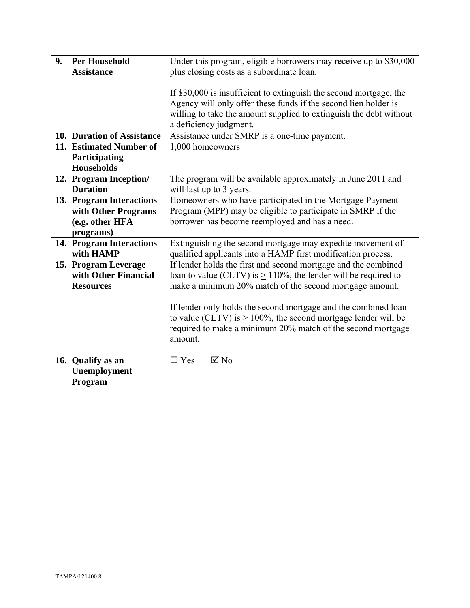| 9.                                       | <b>Per Household</b>                                                                   | Under this program, eligible borrowers may receive up to \$30,000     |  |
|------------------------------------------|----------------------------------------------------------------------------------------|-----------------------------------------------------------------------|--|
|                                          | <b>Assistance</b>                                                                      | plus closing costs as a subordinate loan.                             |  |
|                                          |                                                                                        | If \$30,000 is insufficient to extinguish the second mortgage, the    |  |
|                                          |                                                                                        | Agency will only offer these funds if the second lien holder is       |  |
|                                          |                                                                                        | willing to take the amount supplied to extinguish the debt without    |  |
|                                          |                                                                                        | a deficiency judgment.                                                |  |
|                                          | 10. Duration of Assistance                                                             | Assistance under SMRP is a one-time payment.                          |  |
|                                          | 11. Estimated Number of                                                                | 1,000 homeowners                                                      |  |
|                                          | Participating                                                                          |                                                                       |  |
|                                          | <b>Households</b>                                                                      |                                                                       |  |
|                                          | 12. Program Inception/                                                                 | The program will be available approximately in June 2011 and          |  |
|                                          | <b>Duration</b>                                                                        | will last up to 3 years.                                              |  |
|                                          | 13. Program Interactions                                                               | Homeowners who have participated in the Mortgage Payment              |  |
|                                          | with Other Programs                                                                    | Program (MPP) may be eligible to participate in SMRP if the           |  |
|                                          | (e.g. other HFA                                                                        | borrower has become reemployed and has a need.                        |  |
|                                          | programs)                                                                              |                                                                       |  |
|                                          | 14. Program Interactions                                                               | Extinguishing the second mortgage may expedite movement of            |  |
|                                          | with HAMP                                                                              | qualified applicants into a HAMP first modification process.          |  |
|                                          | 15. Program Leverage<br>If lender holds the first and second mortgage and the combined |                                                                       |  |
| with Other Financial<br><b>Resources</b> |                                                                                        | loan to value (CLTV) is $\geq 110\%$ , the lender will be required to |  |
|                                          |                                                                                        | make a minimum 20% match of the second mortgage amount.               |  |
|                                          |                                                                                        |                                                                       |  |
|                                          |                                                                                        | If lender only holds the second mortgage and the combined loan        |  |
|                                          |                                                                                        | to value (CLTV) is $\geq$ 100%, the second mortgage lender will be    |  |
|                                          |                                                                                        | required to make a minimum 20% match of the second mortgage           |  |
|                                          |                                                                                        | amount.                                                               |  |
|                                          | 16. Qualify as an                                                                      | $\boxtimes$ No<br>$\Box$ Yes                                          |  |
|                                          | Unemployment                                                                           |                                                                       |  |
|                                          | Program                                                                                |                                                                       |  |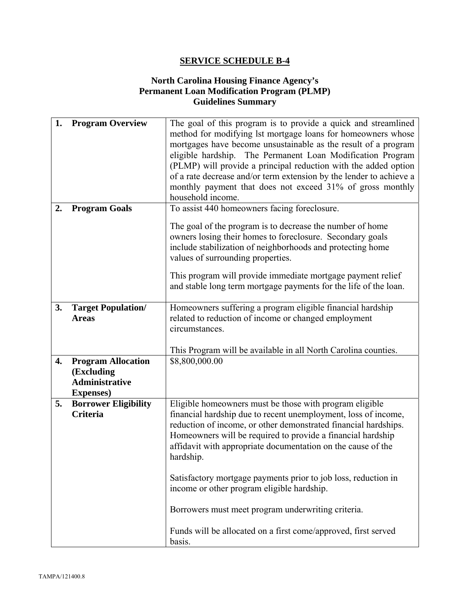## **North Carolina Housing Finance Agency's Permanent Loan Modification Program (PLMP) Guidelines Summary**

| 1. | <b>Program Overview</b>                                                               | The goal of this program is to provide a quick and streamlined<br>method for modifying lst mortgage loans for homeowners whose<br>mortgages have become unsustainable as the result of a program<br>eligible hardship. The Permanent Loan Modification Program<br>(PLMP) will provide a principal reduction with the added option        |  |
|----|---------------------------------------------------------------------------------------|------------------------------------------------------------------------------------------------------------------------------------------------------------------------------------------------------------------------------------------------------------------------------------------------------------------------------------------|--|
|    |                                                                                       | of a rate decrease and/or term extension by the lender to achieve a<br>monthly payment that does not exceed 31% of gross monthly<br>household income.                                                                                                                                                                                    |  |
| 2. | <b>Program Goals</b>                                                                  | To assist 440 homeowners facing foreclosure.                                                                                                                                                                                                                                                                                             |  |
|    |                                                                                       | The goal of the program is to decrease the number of home<br>owners losing their homes to foreclosure. Secondary goals<br>include stabilization of neighborhoods and protecting home<br>values of surrounding properties.                                                                                                                |  |
|    |                                                                                       | This program will provide immediate mortgage payment relief<br>and stable long term mortgage payments for the life of the loan.                                                                                                                                                                                                          |  |
| 3. | <b>Target Population/</b><br><b>Areas</b>                                             | Homeowners suffering a program eligible financial hardship<br>related to reduction of income or changed employment<br>circumstances.                                                                                                                                                                                                     |  |
|    |                                                                                       | This Program will be available in all North Carolina counties.                                                                                                                                                                                                                                                                           |  |
| 4. | <b>Program Allocation</b><br>(Excluding<br><b>Administrative</b><br><b>Expenses</b> ) | \$8,800,000.00                                                                                                                                                                                                                                                                                                                           |  |
| 5. | <b>Borrower Eligibility</b><br><b>Criteria</b>                                        | Eligible homeowners must be those with program eligible<br>financial hardship due to recent unemployment, loss of income,<br>reduction of income, or other demonstrated financial hardships.<br>Homeowners will be required to provide a financial hardship<br>affidavit with appropriate documentation on the cause of the<br>hardship. |  |
|    |                                                                                       | Satisfactory mortgage payments prior to job loss, reduction in<br>income or other program eligible hardship.                                                                                                                                                                                                                             |  |
|    |                                                                                       | Borrowers must meet program underwriting criteria.                                                                                                                                                                                                                                                                                       |  |
|    |                                                                                       | Funds will be allocated on a first come/approved, first served<br>basis.                                                                                                                                                                                                                                                                 |  |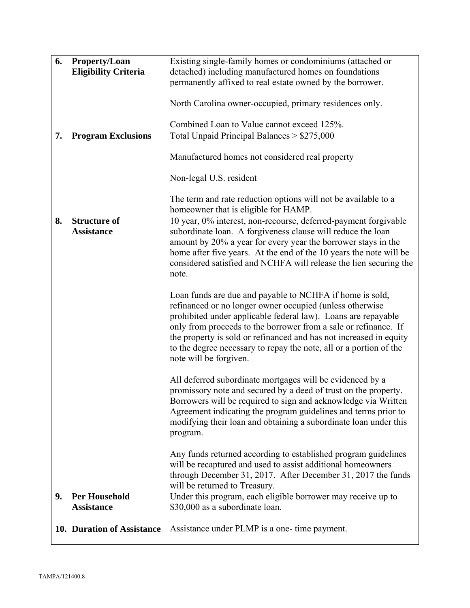| 6.                                                      | <b>Property/Loan</b>                      | Existing single-family homes or condominiums (attached or                                                                                                                                                                                                                                                                                                                                                                      |  |
|---------------------------------------------------------|-------------------------------------------|--------------------------------------------------------------------------------------------------------------------------------------------------------------------------------------------------------------------------------------------------------------------------------------------------------------------------------------------------------------------------------------------------------------------------------|--|
|                                                         | <b>Eligibility Criteria</b>               | detached) including manufactured homes on foundations                                                                                                                                                                                                                                                                                                                                                                          |  |
|                                                         |                                           | permanently affixed to real estate owned by the borrower.                                                                                                                                                                                                                                                                                                                                                                      |  |
|                                                         |                                           | North Carolina owner-occupied, primary residences only.                                                                                                                                                                                                                                                                                                                                                                        |  |
|                                                         |                                           | Combined Loan to Value cannot exceed 125%.                                                                                                                                                                                                                                                                                                                                                                                     |  |
| 7.                                                      | <b>Program Exclusions</b>                 | Total Unpaid Principal Balances > \$275,000                                                                                                                                                                                                                                                                                                                                                                                    |  |
|                                                         |                                           |                                                                                                                                                                                                                                                                                                                                                                                                                                |  |
|                                                         |                                           | Manufactured homes not considered real property                                                                                                                                                                                                                                                                                                                                                                                |  |
|                                                         |                                           | Non-legal U.S. resident                                                                                                                                                                                                                                                                                                                                                                                                        |  |
|                                                         |                                           | The term and rate reduction options will not be available to a<br>homeowner that is eligible for HAMP.                                                                                                                                                                                                                                                                                                                         |  |
| <b>Structure of</b><br>8.<br><b>Assistance</b><br>note. |                                           | 10 year, 0% interest, non-recourse, deferred-payment forgivable<br>subordinate loan. A forgiveness clause will reduce the loan<br>amount by 20% a year for every year the borrower stays in the<br>home after five years. At the end of the 10 years the note will be<br>considered satisfied and NCHFA will release the lien securing the                                                                                     |  |
|                                                         |                                           | Loan funds are due and payable to NCHFA if home is sold,<br>refinanced or no longer owner occupied (unless otherwise<br>prohibited under applicable federal law). Loans are repayable<br>only from proceeds to the borrower from a sale or refinance. If<br>the property is sold or refinanced and has not increased in equity<br>to the degree necessary to repay the note, all or a portion of the<br>note will be forgiven. |  |
|                                                         |                                           | All deferred subordinate mortgages will be evidenced by a<br>promissory note and secured by a deed of trust on the property.<br>Borrowers will be required to sign and acknowledge via Written<br>Agreement indicating the program guidelines and terms prior to<br>modifying their loan and obtaining a subordinate loan under this<br>program.                                                                               |  |
|                                                         |                                           | Any funds returned according to established program guidelines<br>will be recaptured and used to assist additional homeowners<br>through December 31, 2017. After December 31, 2017 the funds<br>will be returned to Treasury.                                                                                                                                                                                                 |  |
| 9.                                                      | <b>Per Household</b><br><b>Assistance</b> | Under this program, each eligible borrower may receive up to<br>\$30,000 as a subordinate loan.                                                                                                                                                                                                                                                                                                                                |  |
|                                                         | 10. Duration of Assistance                | Assistance under PLMP is a one-time payment.                                                                                                                                                                                                                                                                                                                                                                                   |  |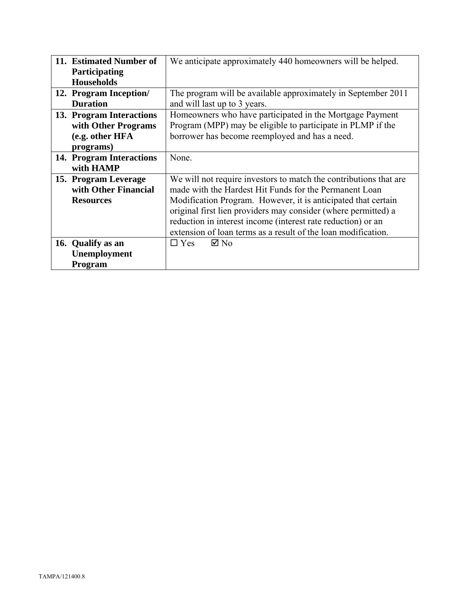| 11. Estimated Number of  | We anticipate approximately 440 homeowners will be helped.        |  |
|--------------------------|-------------------------------------------------------------------|--|
| <b>Participating</b>     |                                                                   |  |
| <b>Households</b>        |                                                                   |  |
| 12. Program Inception/   | The program will be available approximately in September 2011     |  |
| <b>Duration</b>          | and will last up to 3 years.                                      |  |
| 13. Program Interactions | Homeowners who have participated in the Mortgage Payment          |  |
| with Other Programs      | Program (MPP) may be eligible to participate in PLMP if the       |  |
| (e.g. other HFA          | borrower has become reemployed and has a need.                    |  |
| programs)                |                                                                   |  |
| 14. Program Interactions | None.                                                             |  |
| with HAMP                |                                                                   |  |
| 15. Program Leverage     | We will not require investors to match the contributions that are |  |
| with Other Financial     | made with the Hardest Hit Funds for the Permanent Loan            |  |
| <b>Resources</b>         | Modification Program. However, it is anticipated that certain     |  |
|                          | original first lien providers may consider (where permitted) a    |  |
|                          | reduction in interest income (interest rate reduction) or an      |  |
|                          | extension of loan terms as a result of the loan modification.     |  |
| 16. Qualify as an        | $\boxtimes$ No<br>$\Box$ Yes                                      |  |
| <b>Unemployment</b>      |                                                                   |  |
| <b>Program</b>           |                                                                   |  |